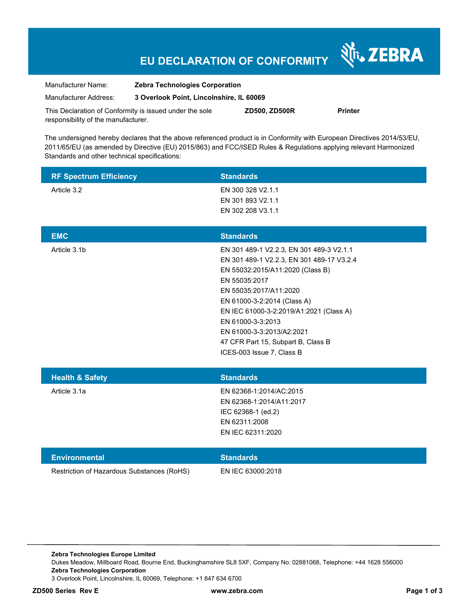# **EU DECLARATION OF CONFORMITY**

Nr. ZEBRA

| Manufacturer Name:                                      | <b>Zebra Technologies Corporation</b>    |               |                |
|---------------------------------------------------------|------------------------------------------|---------------|----------------|
| Manufacturer Address:                                   | 3 Overlook Point, Lincolnshire, IL 60069 |               |                |
| This Declaration of Conformity is issued under the sole |                                          | ZD500, ZD500R | <b>Printer</b> |

responsibility of the manufacturer.

The undersigned hereby declares that the above referenced product is in Conformity with European Directives 2014/53/EU, 2011/65/EU (as amended by Directive (EU) 2015/863) and FCC/ISED Rules & Regulations applying relevant Harmonized Standards and other technical specifications:

| <b>RF Spectrum Efficiency</b> | <b>Standards</b>                                                                                                                                                                                                                                                                                                                                                    |
|-------------------------------|---------------------------------------------------------------------------------------------------------------------------------------------------------------------------------------------------------------------------------------------------------------------------------------------------------------------------------------------------------------------|
| Article 3.2                   | EN 300 328 V2.1.1<br>EN 301 893 V2.1.1<br>EN 302 208 V3.1.1                                                                                                                                                                                                                                                                                                         |
| <b>EMC</b>                    | <b>Standards</b>                                                                                                                                                                                                                                                                                                                                                    |
| Article 3.1b                  | EN 301 489-1 V2.2.3, EN 301 489-3 V2.1.1<br>EN 301 489-1 V2.2.3, EN 301 489-17 V3.2.4<br>EN 55032:2015/A11:2020 (Class B)<br>EN 55035:2017<br>EN 55035:2017/A11:2020<br>EN 61000-3-2:2014 (Class A)<br>EN IEC 61000-3-2:2019/A1:2021 (Class A)<br>EN 61000-3-3:2013<br>EN 61000-3-3:2013/A2:2021<br>47 CFR Part 15, Subpart B, Class B<br>ICES-003 Issue 7, Class B |
| <b>Health &amp; Safety</b>    | <b>Standards</b>                                                                                                                                                                                                                                                                                                                                                    |
| Article 3.1a                  | EN 62368-1:2014/AC:2015<br>EN 62368-1:2014/A11:2017<br>IEC 62368-1 (ed.2)<br>EN 62311:2008<br>EN IEC 62311:2020                                                                                                                                                                                                                                                     |

| Environmental                              | <b>Standards</b>  |
|--------------------------------------------|-------------------|
| Restriction of Hazardous Substances (RoHS) | EN IEC 63000:2018 |

**Zebra Technologies Europe Limited**  Dukes Meadow, Millboard Road, Bourne End, Buckinghamshire SL8 5XF, Company No: 02881068, Telephone: +44 1628 556000 **Zebra Technologies Corporation**  3 Overlook Point, Lincolnshire, IL 60069, Telephone: +1 847 634 6700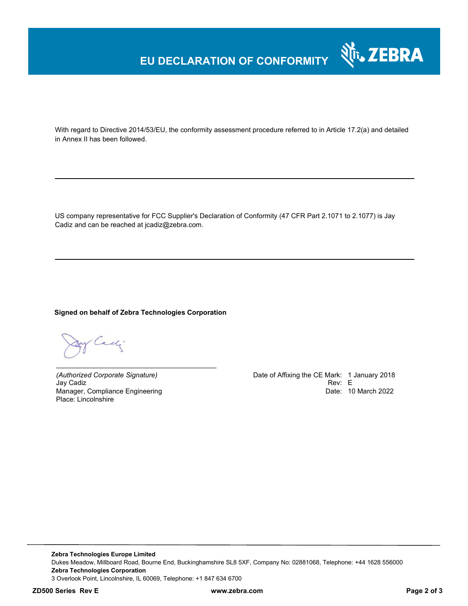## **EU DECLARATION OF CONFORMITY**

With regard to Directive 2014/53/EU, the conformity assessment procedure referred to in Article 17.2(a) and detailed in Annex II has been followed.

US company representative for FCC Supplier's Declaration of Conformity (47 CFR Part 2.1071 to 2.1077) is Jay Cadiz and can be reached at jcadiz@zebra.com.

### **Signed on behalf of Zebra Technologies Corporation**

*\_\_\_\_\_\_\_\_\_\_\_\_\_\_\_\_\_\_\_\_\_\_\_\_\_\_\_\_\_\_\_\_\_\_\_\_\_\_\_\_\_\_*

y Cachi

Jay Cadiz Manager, Compliance Engineering Place: Lincolnshire

*(Authorized Corporate Signature)* Date of Affixing the CE Mark: 1 January 2018 Date: 10 March 2022

र्शे<sub>ं</sub> ZEBRA